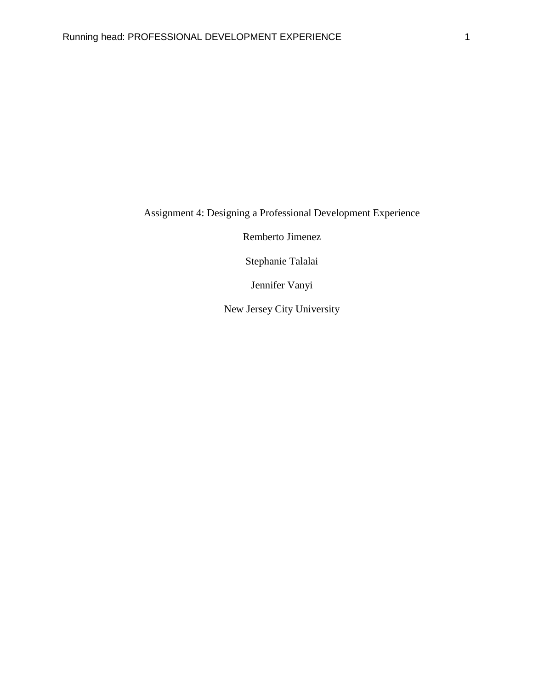Assignment 4: Designing a Professional Development Experience

Remberto Jimenez

Stephanie Talalai

Jennifer Vanyi

New Jersey City University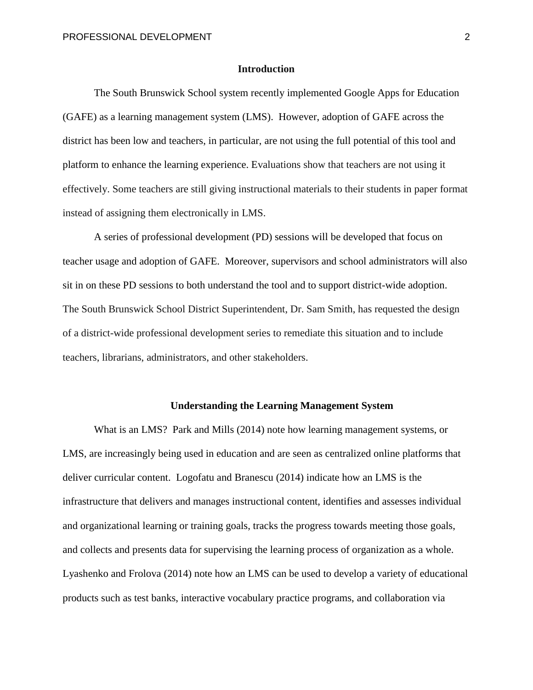### **Introduction**

The South Brunswick School system recently implemented Google Apps for Education (GAFE) as a learning management system (LMS). However, adoption of GAFE across the district has been low and teachers, in particular, are not using the full potential of this tool and platform to enhance the learning experience. Evaluations show that teachers are not using it effectively. Some teachers are still giving instructional materials to their students in paper format instead of assigning them electronically in LMS.

A series of professional development (PD) sessions will be developed that focus on teacher usage and adoption of GAFE. Moreover, supervisors and school administrators will also sit in on these PD sessions to both understand the tool and to support district-wide adoption. The South Brunswick School District Superintendent, Dr. Sam Smith, has requested the design of a district-wide professional development series to remediate this situation and to include teachers, librarians, administrators, and other stakeholders.

### **Understanding the Learning Management System**

What is an LMS? Park and Mills (2014) note how learning management systems, or LMS, are increasingly being used in education and are seen as centralized online platforms that deliver curricular content. Logofatu and Branescu (2014) indicate how an LMS is the infrastructure that delivers and manages instructional content, identifies and assesses individual and organizational learning or training goals, tracks the progress towards meeting those goals, and collects and presents data for supervising the learning process of organization as a whole. Lyashenko and Frolova (2014) note how an LMS can be used to develop a variety of educational products such as test banks, interactive vocabulary practice programs, and collaboration via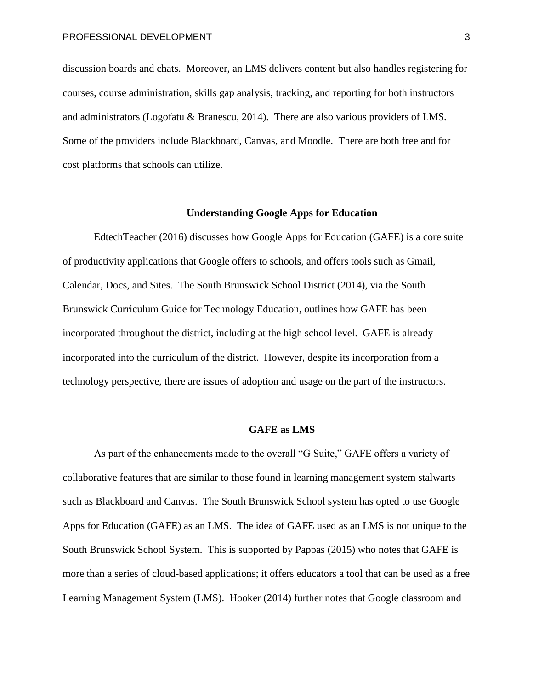discussion boards and chats. Moreover, an LMS delivers content but also handles registering for courses, course administration, skills gap analysis, tracking, and reporting for both instructors and administrators (Logofatu & Branescu, 2014). There are also various providers of LMS. Some of the providers include Blackboard, Canvas, and Moodle. There are both free and for cost platforms that schools can utilize.

### **Understanding Google Apps for Education**

EdtechTeacher (2016) discusses how Google Apps for Education (GAFE) is a core suite of productivity applications that Google offers to schools, and offers tools such as Gmail, Calendar, Docs, and Sites. The South Brunswick School District (2014), via the South Brunswick Curriculum Guide for Technology Education, outlines how GAFE has been incorporated throughout the district, including at the high school level. GAFE is already incorporated into the curriculum of the district. However, despite its incorporation from a technology perspective, there are issues of adoption and usage on the part of the instructors.

#### **GAFE as LMS**

As part of the enhancements made to the overall "G Suite," GAFE offers a variety of collaborative features that are similar to those found in learning management system stalwarts such as Blackboard and Canvas. The South Brunswick School system has opted to use Google Apps for Education (GAFE) as an LMS. The idea of GAFE used as an LMS is not unique to the South Brunswick School System. This is supported by Pappas (2015) who notes that GAFE is more than a series of cloud-based applications; it offers educators a tool that can be used as a free Learning Management System (LMS). Hooker (2014) further notes that Google classroom and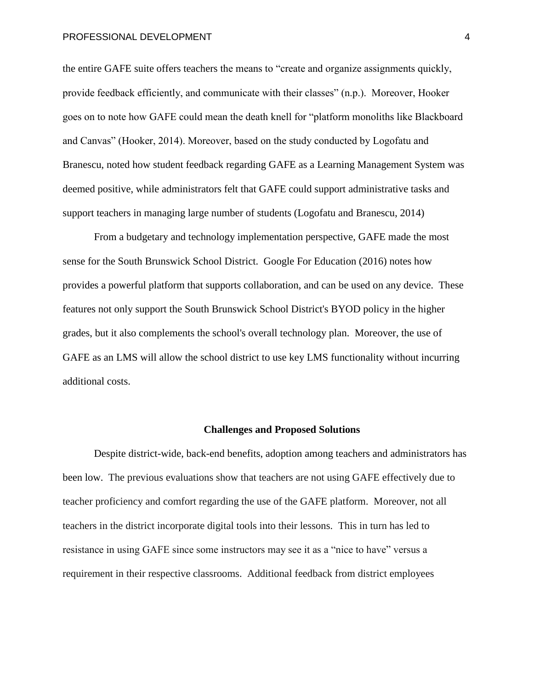the entire GAFE suite offers teachers the means to "create and organize assignments quickly, provide feedback efficiently, and communicate with their classes" (n.p.). Moreover, Hooker goes on to note how GAFE could mean the death knell for "platform monoliths like Blackboard and Canvas" (Hooker, 2014). Moreover, based on the study conducted by Logofatu and Branescu, noted how student feedback regarding GAFE as a Learning Management System was deemed positive, while administrators felt that GAFE could support administrative tasks and support teachers in managing large number of students (Logofatu and Branescu, 2014)

From a budgetary and technology implementation perspective, GAFE made the most sense for the South Brunswick School District. Google For Education (2016) notes how provides a powerful platform that supports collaboration, and can be used on any device. These features not only support the South Brunswick School District's BYOD policy in the higher grades, but it also complements the school's overall technology plan. Moreover, the use of GAFE as an LMS will allow the school district to use key LMS functionality without incurring additional costs.

### **Challenges and Proposed Solutions**

Despite district-wide, back-end benefits, adoption among teachers and administrators has been low. The previous evaluations show that teachers are not using GAFE effectively due to teacher proficiency and comfort regarding the use of the GAFE platform. Moreover, not all teachers in the district incorporate digital tools into their lessons. This in turn has led to resistance in using GAFE since some instructors may see it as a "nice to have" versus a requirement in their respective classrooms. Additional feedback from district employees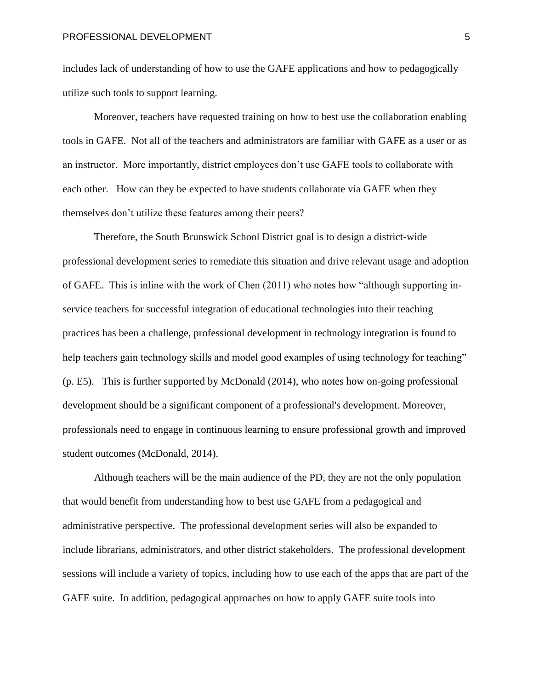includes lack of understanding of how to use the GAFE applications and how to pedagogically utilize such tools to support learning.

Moreover, teachers have requested training on how to best use the collaboration enabling tools in GAFE. Not all of the teachers and administrators are familiar with GAFE as a user or as an instructor. More importantly, district employees don't use GAFE tools to collaborate with each other. How can they be expected to have students collaborate via GAFE when they themselves don't utilize these features among their peers?

Therefore, the South Brunswick School District goal is to design a district-wide professional development series to remediate this situation and drive relevant usage and adoption of GAFE. This is inline with the work of Chen (2011) who notes how "although supporting inservice teachers for successful integration of educational technologies into their teaching practices has been a challenge, professional development in technology integration is found to help teachers gain technology skills and model good examples of using technology for teaching" (p. E5). This is further supported by McDonald (2014), who notes how on-going professional development should be a significant component of a professional's development. Moreover, professionals need to engage in continuous learning to ensure professional growth and improved student outcomes (McDonald, 2014).

Although teachers will be the main audience of the PD, they are not the only population that would benefit from understanding how to best use GAFE from a pedagogical and administrative perspective. The professional development series will also be expanded to include librarians, administrators, and other district stakeholders. The professional development sessions will include a variety of topics, including how to use each of the apps that are part of the GAFE suite. In addition, pedagogical approaches on how to apply GAFE suite tools into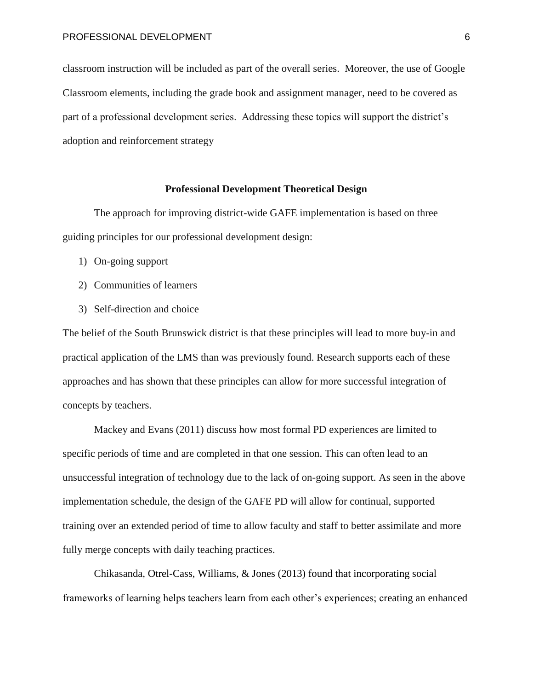classroom instruction will be included as part of the overall series. Moreover, the use of Google Classroom elements, including the grade book and assignment manager, need to be covered as part of a professional development series. Addressing these topics will support the district's adoption and reinforcement strategy

## **Professional Development Theoretical Design**

The approach for improving district-wide GAFE implementation is based on three guiding principles for our professional development design:

- 1) On-going support
- 2) Communities of learners
- 3) Self-direction and choice

The belief of the South Brunswick district is that these principles will lead to more buy-in and practical application of the LMS than was previously found. Research supports each of these approaches and has shown that these principles can allow for more successful integration of concepts by teachers.

Mackey and Evans (2011) discuss how most formal PD experiences are limited to specific periods of time and are completed in that one session. This can often lead to an unsuccessful integration of technology due to the lack of on-going support. As seen in the above implementation schedule, the design of the GAFE PD will allow for continual, supported training over an extended period of time to allow faculty and staff to better assimilate and more fully merge concepts with daily teaching practices.

Chikasanda, Otrel-Cass, Williams, & Jones (2013) found that incorporating social frameworks of learning helps teachers learn from each other's experiences; creating an enhanced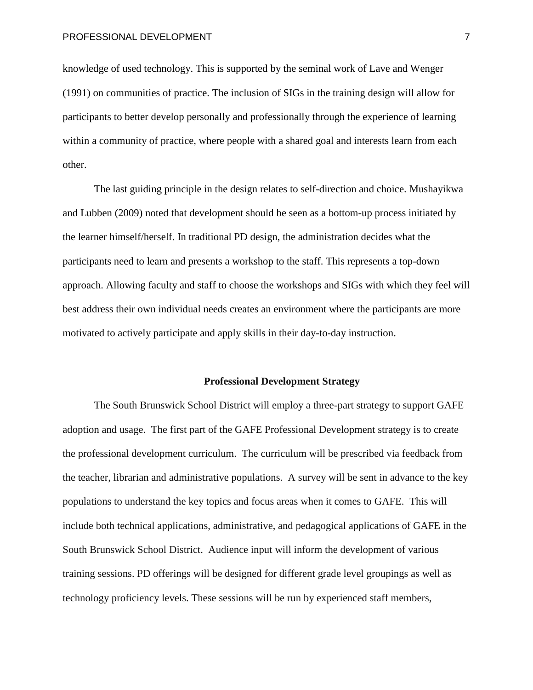knowledge of used technology. This is supported by the seminal work of Lave and Wenger (1991) on communities of practice. The inclusion of SIGs in the training design will allow for participants to better develop personally and professionally through the experience of learning within a community of practice, where people with a shared goal and interests learn from each other.

The last guiding principle in the design relates to self-direction and choice. Mushayikwa and Lubben (2009) noted that development should be seen as a bottom-up process initiated by the learner himself/herself. In traditional PD design, the administration decides what the participants need to learn and presents a workshop to the staff. This represents a top-down approach. Allowing faculty and staff to choose the workshops and SIGs with which they feel will best address their own individual needs creates an environment where the participants are more motivated to actively participate and apply skills in their day-to-day instruction.

#### **Professional Development Strategy**

The South Brunswick School District will employ a three-part strategy to support GAFE adoption and usage. The first part of the GAFE Professional Development strategy is to create the professional development curriculum. The curriculum will be prescribed via feedback from the teacher, librarian and administrative populations. A survey will be sent in advance to the key populations to understand the key topics and focus areas when it comes to GAFE. This will include both technical applications, administrative, and pedagogical applications of GAFE in the South Brunswick School District. Audience input will inform the development of various training sessions. PD offerings will be designed for different grade level groupings as well as technology proficiency levels. These sessions will be run by experienced staff members,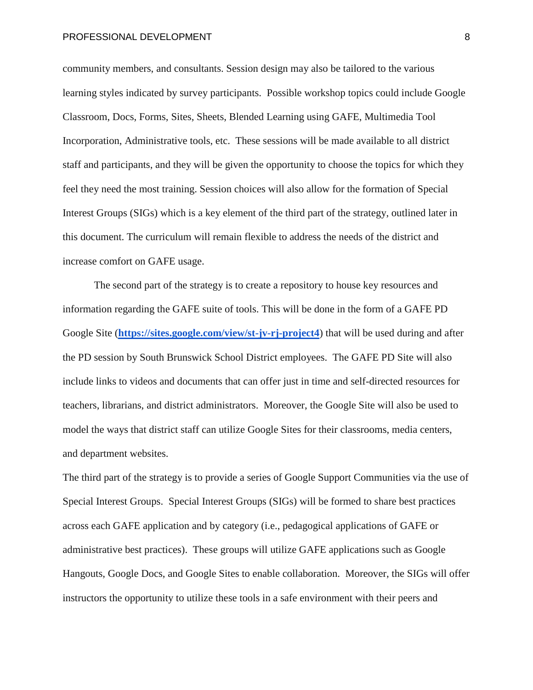community members, and consultants. Session design may also be tailored to the various learning styles indicated by survey participants. Possible workshop topics could include Google Classroom, Docs, Forms, Sites, Sheets, Blended Learning using GAFE, Multimedia Tool Incorporation, Administrative tools, etc. These sessions will be made available to all district staff and participants, and they will be given the opportunity to choose the topics for which they feel they need the most training. Session choices will also allow for the formation of Special Interest Groups (SIGs) which is a key element of the third part of the strategy, outlined later in this document. The curriculum will remain flexible to address the needs of the district and increase comfort on GAFE usage.

The second part of the strategy is to create a repository to house key resources and information regarding the GAFE suite of tools. This will be done in the form of a GAFE PD Google Site (**<https://sites.google.com/view/st-jv-rj-project4>**) that will be used during and after the PD session by South Brunswick School District employees. The GAFE PD Site will also include links to videos and documents that can offer just in time and self-directed resources for teachers, librarians, and district administrators. Moreover, the Google Site will also be used to model the ways that district staff can utilize Google Sites for their classrooms, media centers, and department websites.

The third part of the strategy is to provide a series of Google Support Communities via the use of Special Interest Groups. Special Interest Groups (SIGs) will be formed to share best practices across each GAFE application and by category (i.e., pedagogical applications of GAFE or administrative best practices). These groups will utilize GAFE applications such as Google Hangouts, Google Docs, and Google Sites to enable collaboration. Moreover, the SIGs will offer instructors the opportunity to utilize these tools in a safe environment with their peers and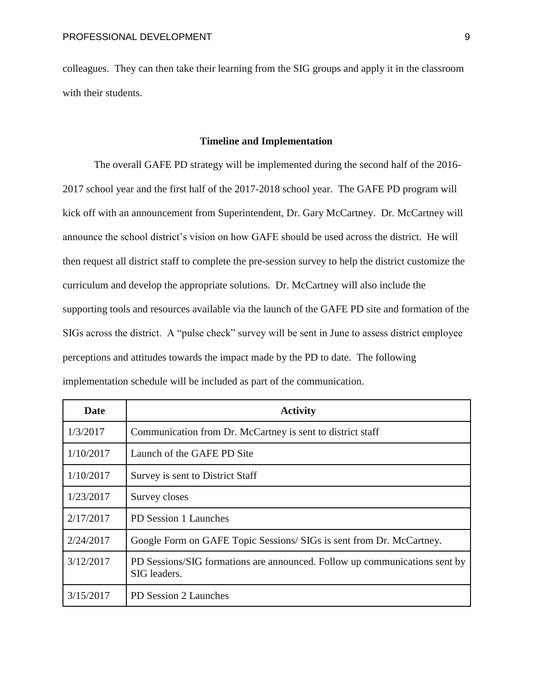colleagues. They can then take their learning from the SIG groups and apply it in the classroom with their students.

#### **Timeline and Implementation**

The overall GAFE PD strategy will be implemented during the second half of the 2016- 2017 school year and the first half of the 2017-2018 school year. The GAFE PD program will kick off with an announcement from Superintendent, Dr. Gary McCartney. Dr. McCartney will announce the school district's vision on how GAFE should be used across the district. He will then request all district staff to complete the pre-session survey to help the district customize the curriculum and develop the appropriate solutions. Dr. McCartney will also include the supporting tools and resources available via the launch of the GAFE PD site and formation of the SIGs across the district. A "pulse check" survey will be sent in June to assess district employee perceptions and attitudes towards the impact made by the PD to date. The following implementation schedule will be included as part of the communication.

| Date      | <b>Activity</b>                                                                            |
|-----------|--------------------------------------------------------------------------------------------|
| 1/3/2017  | Communication from Dr. McCartney is sent to district staff                                 |
| 1/10/2017 | Launch of the GAFE PD Site                                                                 |
| 1/10/2017 | Survey is sent to District Staff                                                           |
| 1/23/2017 | Survey closes                                                                              |
| 2/17/2017 | PD Session 1 Launches                                                                      |
| 2/24/2017 | Google Form on GAFE Topic Sessions/ SIGs is sent from Dr. McCartney.                       |
| 3/12/2017 | PD Sessions/SIG formations are announced. Follow up communications sent by<br>SIG leaders. |
| 3/15/2017 | PD Session 2 Launches                                                                      |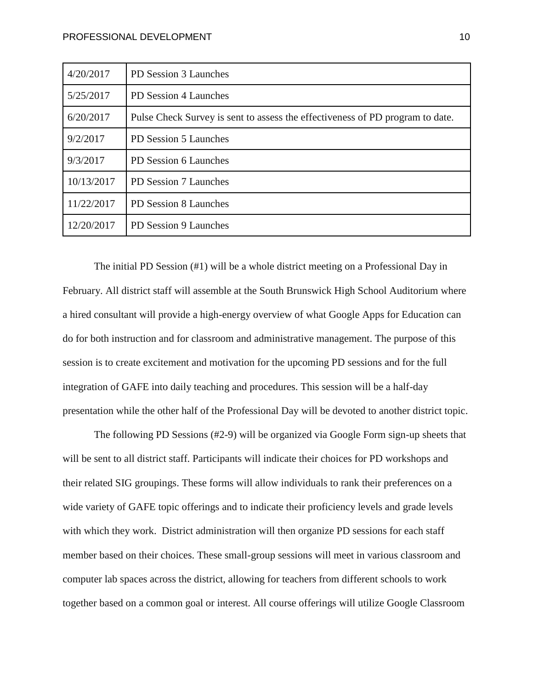| 4/20/2017  | PD Session 3 Launches                                                         |
|------------|-------------------------------------------------------------------------------|
| 5/25/2017  | PD Session 4 Launches                                                         |
| 6/20/2017  | Pulse Check Survey is sent to assess the effectiveness of PD program to date. |
| 9/2/2017   | PD Session 5 Launches                                                         |
| 9/3/2017   | PD Session 6 Launches                                                         |
| 10/13/2017 | PD Session 7 Launches                                                         |
| 11/22/2017 | PD Session 8 Launches                                                         |
| 12/20/2017 | PD Session 9 Launches                                                         |

The initial PD Session (#1) will be a whole district meeting on a Professional Day in February. All district staff will assemble at the South Brunswick High School Auditorium where a hired consultant will provide a high-energy overview of what Google Apps for Education can do for both instruction and for classroom and administrative management. The purpose of this session is to create excitement and motivation for the upcoming PD sessions and for the full integration of GAFE into daily teaching and procedures. This session will be a half-day presentation while the other half of the Professional Day will be devoted to another district topic.

The following PD Sessions (#2-9) will be organized via Google Form sign-up sheets that will be sent to all district staff. Participants will indicate their choices for PD workshops and their related SIG groupings. These forms will allow individuals to rank their preferences on a wide variety of GAFE topic offerings and to indicate their proficiency levels and grade levels with which they work. District administration will then organize PD sessions for each staff member based on their choices. These small-group sessions will meet in various classroom and computer lab spaces across the district, allowing for teachers from different schools to work together based on a common goal or interest. All course offerings will utilize Google Classroom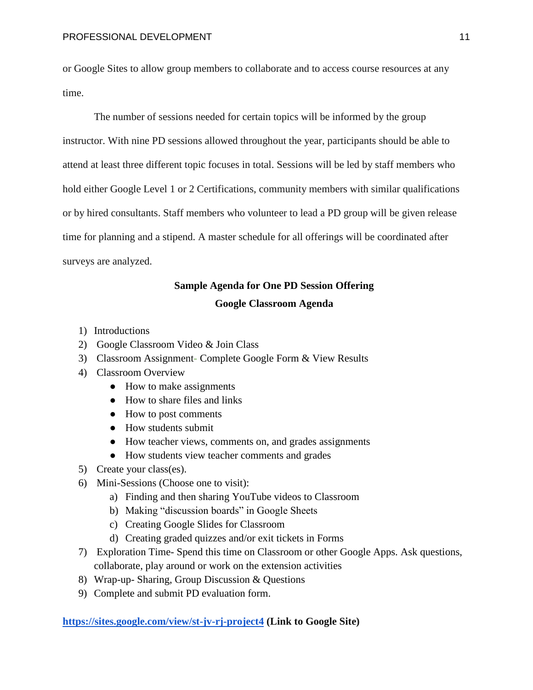or Google Sites to allow group members to collaborate and to access course resources at any time.

The number of sessions needed for certain topics will be informed by the group instructor. With nine PD sessions allowed throughout the year, participants should be able to attend at least three different topic focuses in total. Sessions will be led by staff members who hold either Google Level 1 or 2 Certifications, community members with similar qualifications or by hired consultants. Staff members who volunteer to lead a PD group will be given release time for planning and a stipend. A master schedule for all offerings will be coordinated after surveys are analyzed.

# **Sample Agenda for One PD Session Offering**

# **Google Classroom Agenda**

- 1) Introductions
- 2) Google Classroom Video & Join Class
- 3) Classroom Assignment- Complete Google Form & View Results
- 4) Classroom Overview
	- How to make assignments
	- How to share files and links
	- How to post comments
	- How students submit
	- How teacher views, comments on, and grades assignments
	- How students view teacher comments and grades
- 5) Create your class(es).
- 6) Mini-Sessions (Choose one to visit):
	- a) Finding and then sharing YouTube videos to Classroom
	- b) Making "discussion boards" in Google Sheets
	- c) Creating Google Slides for Classroom
	- d) Creating graded quizzes and/or exit tickets in Forms
- 7) Exploration Time- Spend this time on Classroom or other Google Apps. Ask questions, collaborate, play around or work on the extension activities
- 8) Wrap-up- Sharing, Group Discussion & Questions
- 9) Complete and submit PD evaluation form.

### **<https://sites.google.com/view/st-jv-rj-project4> (Link to Google Site)**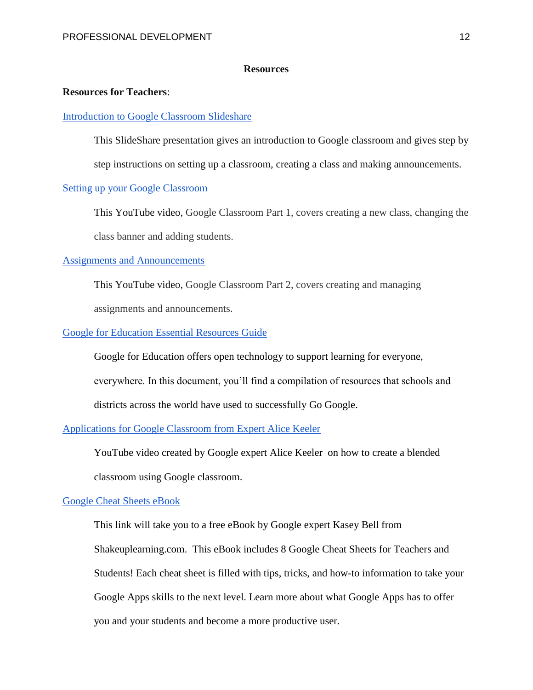## **Resources**

#### **Resources for Teachers**:

#### [Introduction to Google Classroom Slideshare](http://www.slideshare.net/jscheffer/introduction-to-google-classroom-37580145)

This SlideShare presentation gives an introduction to Google classroom and gives step by

step instructions on setting up a classroom, creating a class and making announcements.

# [Setting up your Google Classroom](https://www.youtube.com/watch?v=G8VI42P8wBA)

This YouTube video, Google Classroom Part 1, covers creating a new class, changing the class banner and adding students.

# [Assignments and Announcements](https://www.youtube.com/watch?v=AOpPtqbonJQ)

 This YouTube video, Google Classroom Part 2, covers creating and managing assignments and announcements.

# [Google for Education Essential Resources Guide](https://docs.google.com/document/d/16pGWXaoxC6CtVV1kZ0I9PgtSntZP80_2gWmaxKSLB18/edit)

Google for Education offers open technology to support learning for everyone, everywhere. In this document, you'll find a compilation of resources that schools and districts across the world have used to successfully Go Google.

# [Applications for Google Classroom from Expert Alice Keeler](https://www.youtube.com/watch?v=lNLPxd3SuyY&list=PLyU8URU_Hz_mmefUG1_wt8Lw0YdREeC2Q)

YouTube video created by Google expert Alice Keeler on how to create a blended

classroom using Google classroom.

## [Google Cheat Sheets eBook](http://www.shakeuplearning.com/blog/get-your-free-google-cheat-sheets-ebook/)

This link will take you to a free eBook by Google expert Kasey Bell from Shakeuplearning.com. This eBook includes 8 Google Cheat Sheets for Teachers and Students! Each cheat sheet is filled with tips, tricks, and how-to information to take your Google Apps skills to the next level. Learn more about what Google Apps has to offer you and your students and become a more productive user.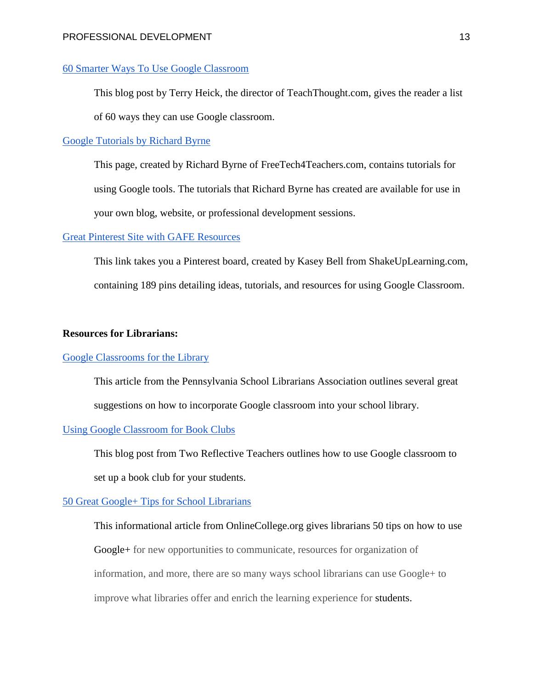# [60 Smarter Ways To Use Google Classroom](http://www.teachthought.com/the-future-of-learning/technology/60-smarter-ways-to-use-google-classroom/)

This blog post by Terry Heick, the director of TeachThought.com, gives the reader a list of 60 ways they can use Google classroom.

## [Google Tutorials by Richard Byrne](http://www.freetech4teachers.com/p/google-tools-tutorials.html)

This page, created by Richard Byrne of FreeTech4Teachers.com, contains tutorials for using Google tools. The tutorials that Richard Byrne has created are available for use in your own blog, website, or professional development sessions.

# [Great Pinterest Site with GAFE Resources](https://www.pinterest.com/ShakeUpLearning/google-classroom/)

This link takes you a Pinterest board, created by Kasey Bell from ShakeUpLearning.com, containing 189 pins detailing ideas, tutorials, and resources for using Google Classroom.

### **Resources for Librarians:**

# [Google Classrooms for the Library](http://www.psla.org/blog/google-classroom-for-the-library/)

This article from the Pennsylvania School Librarians Association outlines several great suggestions on how to incorporate Google classroom into your school library.

# [Using Google Classroom for Book Clubs](http://tworeflectiveteachers.blogspot.com/2013/03/using-google-drive-for-book-clubs.html)

This blog post from Two Reflective Teachers outlines how to use Google classroom to set up a book club for your students.

#### [50 Great Google+ Tips for School Librarians](http://www.onlinecollege.org/50-great-google+-tips-for-school-librarians/)

This informational article from OnlineCollege.org gives librarians 50 tips on how to use Google+ for new opportunities to communicate, resources for organization of information, and more, there are so many ways school librarians can use Google+ to improve what libraries offer and enrich the learning experience for [students.](http://www.onlinecollege.org/)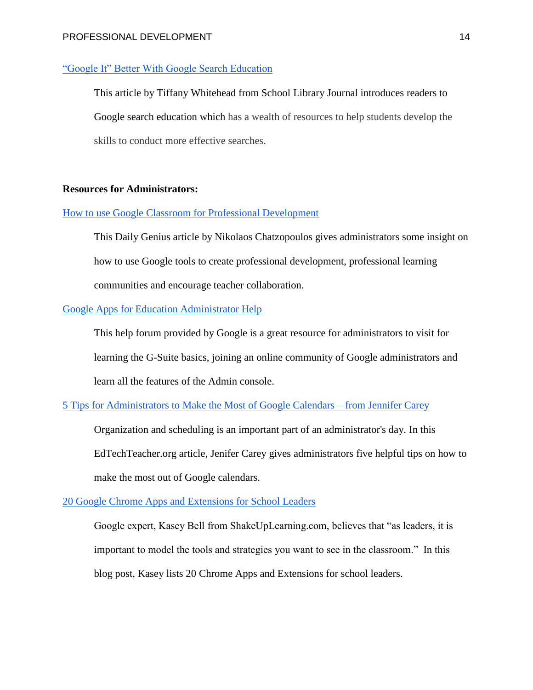#### PROFESSIONAL DEVELOPMENT 14

# ["Google It" Better With Google Search Education](http://www.slj.com/2015/03/technology/google-it-better-with-google-search-education/)

This article by Tiffany Whitehead from School Library Journal introduces readers to Google search education which has a wealth of resources to help students develop the skills to conduct more effective searches.

# **Resources for Administrators:**

# [How to use Google Classroom for Professional Development](http://dailygenius.com/using-google-classroom-professional-development/)

This Daily Genius article by Nikolaos Chatzopoulos gives administrators some insight on how to use Google tools to create professional development, professional learning communities and encourage teacher collaboration.

# [Google Apps for Education Administrator Help](https://support.google.com/a#topic=29157)

This help forum provided by Google is a great resource for administrators to visit for learning the G-Suite basics, joining an online community of Google administrators and learn all the features of the Admin console.

# [5 Tips for Administrators to Make the Most of Google Calendars –](http://edtechteacher.org/google-calendars-jennifer-carey/) from Jennifer Carey

Organization and scheduling is an important part of an administrator's day. In this EdTechTeacher.org article, Jenifer Carey gives administrators five helpful tips on how to make the most out of Google calendars.

# [20 Google Chrome Apps and Extensions for School Leaders](http://www.shakeuplearning.com/blog/20-google-chrome-apps-and-extensions-for-school-leaders/)

Google expert, Kasey Bell from ShakeUpLearning.com, believes that "as leaders, it is important to model the tools and strategies you want to see in the classroom." In this blog post, Kasey lists 20 Chrome Apps and Extensions for school leaders.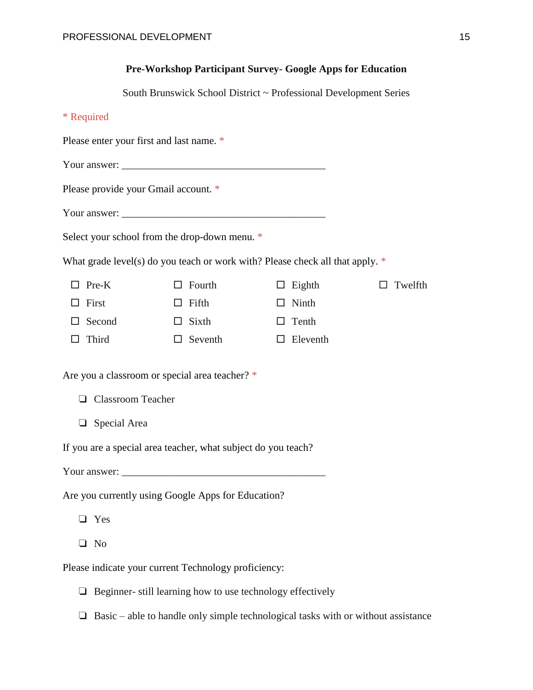# **Pre-Workshop Participant Survey- Google Apps for Education**

South Brunswick School District ~ Professional Development Series

|  | amiite |
|--|--------|
|  |        |

Please enter your first and last name. \*

Your answer: \_\_\_\_\_\_\_\_\_\_\_\_\_\_\_\_\_\_\_\_\_\_\_\_\_\_\_\_\_\_\_\_\_\_\_\_\_\_\_

Please provide your Gmail account. \*

Your answer:

Select your school from the drop-down menu. \*

What grade level(s) do you teach or work with? Please check all that apply.  $*$ 

| $\Box$ Pre-K  | $\Box$ Fourth  | $\Box$ Eighth   | $\Box$ Twelfth |
|---------------|----------------|-----------------|----------------|
| $\Box$ First  | $\Box$ Fifth   | $\Box$ Ninth    |                |
| $\Box$ Second | $\Box$ Sixth   | $\Box$ Tenth    |                |
| $\Box$ Third  | $\Box$ Seventh | $\Box$ Eleventh |                |

Are you a classroom or special area teacher? \*

- ❏ Classroom Teacher
- ❏ Special Area

If you are a special area teacher, what subject do you teach?

Your answer: \_\_\_\_\_\_\_\_\_\_\_\_\_\_\_\_\_\_\_\_\_\_\_\_\_\_\_\_\_\_\_\_\_\_\_\_\_\_\_

Are you currently using Google Apps for Education?

- ❏ Yes
- ❏ No

Please indicate your current Technology proficiency:

- ❏ Beginner- still learning how to use technology effectively
- $\Box$  Basic able to handle only simple technological tasks with or without assistance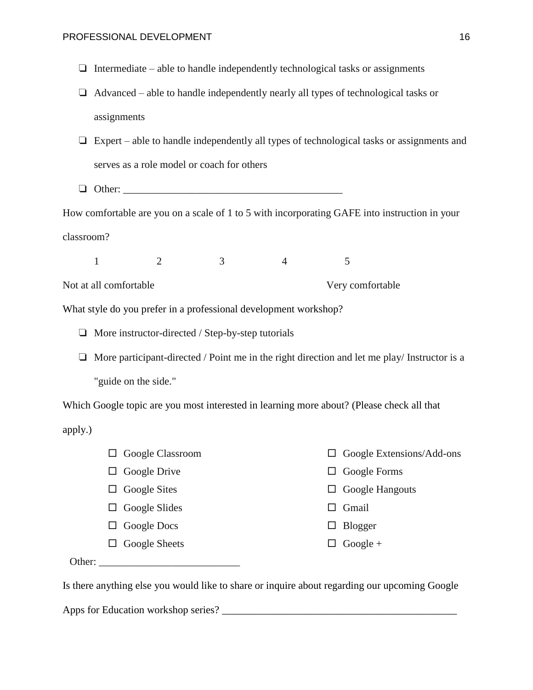- $\Box$  Intermediate able to handle independently technological tasks or assignments
- ❏ Advanced able to handle independently nearly all types of technological tasks or assignments
- ❏ Expert able to handle independently all types of technological tasks or assignments and serves as a role model or coach for others
- $\Box$  Other:

How comfortable are you on a scale of 1 to 5 with incorporating GAFE into instruction in your classroom?

1 2 3 4 5

Not at all comfortable very comfortable very comfortable

What style do you prefer in a professional development workshop?

❏ More instructor-directed / Step-by-step tutorials

❏ More participant-directed / Point me in the right direction and let me play/ Instructor is a "guide on the side."

Which Google topic are you most interested in learning more about? (Please check all that apply.)

- □ Google Classroom □ Google Drive  $\Box$  Google Sites  $\Box$  Google Slides □ Google Docs  $\Box$  Google Extensions/Add-ons □ Google Forms  $\Box$  Google Hangouts  $\Box$  Gmail
- □ Google Sheets
- $\Box$  Blogger
- $\Box$  Google +

Other:

Is there anything else you would like to share or inquire about regarding our upcoming Google

Apps for Education workshop series? \_\_\_\_\_\_\_\_\_\_\_\_\_\_\_\_\_\_\_\_\_\_\_\_\_\_\_\_\_\_\_\_\_\_\_\_\_\_\_\_\_\_\_\_\_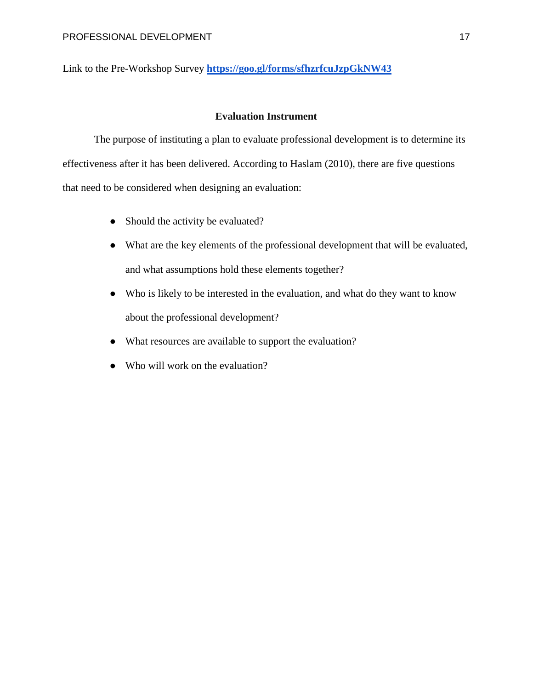Link to the Pre-Workshop Survey **<https://goo.gl/forms/sfhzrfcuJzpGkNW43>**

# **Evaluation Instrument**

The purpose of instituting a plan to evaluate professional development is to determine its effectiveness after it has been delivered. According to Haslam (2010), there are five questions that need to be considered when designing an evaluation:

- Should the activity be evaluated?
- What are the key elements of the professional development that will be evaluated, and what assumptions hold these elements together?
- Who is likely to be interested in the evaluation, and what do they want to know about the professional development?
- What resources are available to support the evaluation?
- Who will work on the evaluation?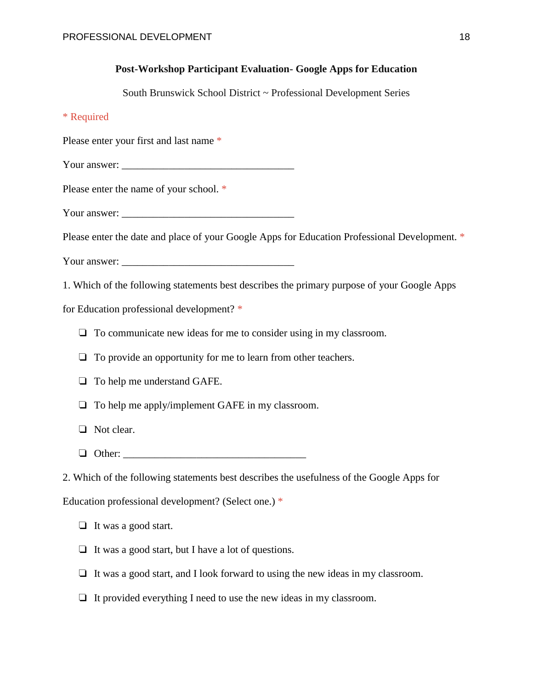# **Post-Workshop Participant Evaluation- Google Apps for Education**

South Brunswick School District ~ Professional Development Series

# \* Required

Please enter your first and last name \*

Your answer: \_\_\_\_\_\_\_\_\_\_\_\_\_\_\_\_\_\_\_\_\_\_\_\_\_\_\_\_\_\_\_\_\_

Please enter the name of your school. \*

Your answer:

Please enter the date and place of your Google Apps for Education Professional Development. \*

Your answer:

1. Which of the following statements best describes the primary purpose of your Google Apps

for Education professional development? \*

❏ To communicate new ideas for me to consider using in my classroom.

❏ To provide an opportunity for me to learn from other teachers.

❏ To help me understand GAFE.

❏ To help me apply/implement GAFE in my classroom.

- ❏ Not clear.
- ❏ Other: \_\_\_\_\_\_\_\_\_\_\_\_\_\_\_\_\_\_\_\_\_\_\_\_\_\_\_\_\_\_\_\_\_\_\_

2. Which of the following statements best describes the usefulness of the Google Apps for

Education professional development? (Select one.) \*

❏ It was a good start.

- ❏ It was a good start, but I have a lot of questions.
- ❏ It was a good start, and I look forward to using the new ideas in my classroom.
- ❏ It provided everything I need to use the new ideas in my classroom.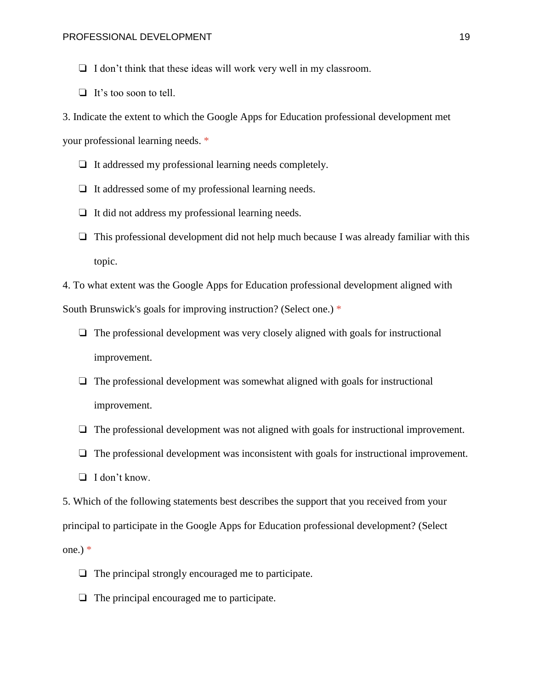- ❏ I don't think that these ideas will work very well in my classroom.
- ❏ It's too soon to tell.
- 3. Indicate the extent to which the Google Apps for Education professional development met

your professional learning needs. \*

- ❏ It addressed my professional learning needs completely.
- ❏ It addressed some of my professional learning needs.
- ❏ It did not address my professional learning needs.
- $\Box$  This professional development did not help much because I was already familiar with this topic.

4. To what extent was the Google Apps for Education professional development aligned with South Brunswick's goals for improving instruction? (Select one.) \*

- $\Box$  The professional development was very closely aligned with goals for instructional improvement.
- ❏ The professional development was somewhat aligned with goals for instructional improvement.
- ❏ The professional development was not aligned with goals for instructional improvement.
- ❏ The professional development was inconsistent with goals for instructional improvement.
- ❏ I don't know.

5. Which of the following statements best describes the support that you received from your principal to participate in the Google Apps for Education professional development? (Select one.)  $*$ 

- ❏ The principal strongly encouraged me to participate.
- ❏ The principal encouraged me to participate.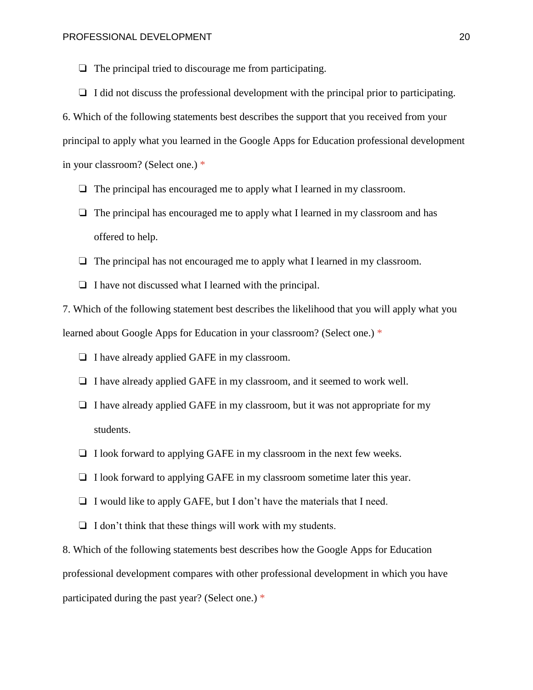- $\Box$  The principal tried to discourage me from participating.
- $\Box$  I did not discuss the professional development with the principal prior to participating.

6. Which of the following statements best describes the support that you received from your principal to apply what you learned in the Google Apps for Education professional development in your classroom? (Select one.) \*

- $\Box$  The principal has encouraged me to apply what I learned in my classroom.
- $\Box$  The principal has encouraged me to apply what I learned in my classroom and has offered to help.
- ❏ The principal has not encouraged me to apply what I learned in my classroom.
- ❏ I have not discussed what I learned with the principal.

7. Which of the following statement best describes the likelihood that you will apply what you learned about Google Apps for Education in your classroom? (Select one.) \*

- ❏ I have already applied GAFE in my classroom.
- ❏ I have already applied GAFE in my classroom, and it seemed to work well.
- ❏ I have already applied GAFE in my classroom, but it was not appropriate for my students.
- ❏ I look forward to applying GAFE in my classroom in the next few weeks.
- ❏ I look forward to applying GAFE in my classroom sometime later this year.
- ❏ I would like to apply GAFE, but I don't have the materials that I need.
- $\Box$  I don't think that these things will work with my students.

8. Which of the following statements best describes how the Google Apps for Education professional development compares with other professional development in which you have participated during the past year? (Select one.) \*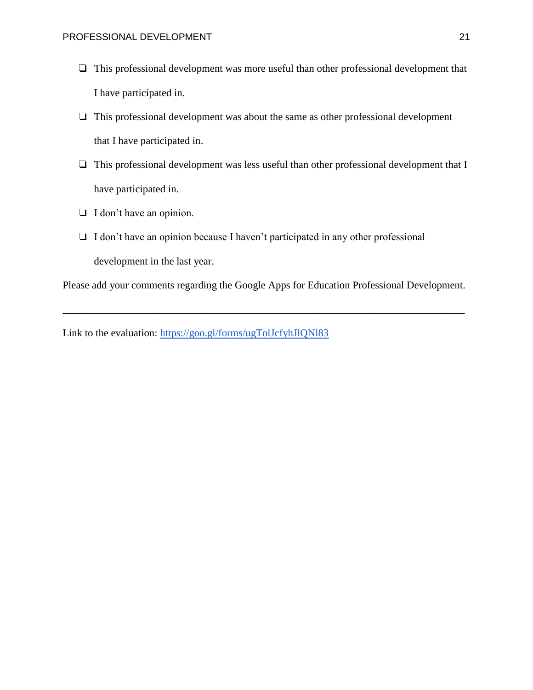- ❏ This professional development was more useful than other professional development that I have participated in.
- ❏ This professional development was about the same as other professional development that I have participated in.
- ❏ This professional development was less useful than other professional development that I have participated in.
- ❏ I don't have an opinion.
- ❏ I don't have an opinion because I haven't participated in any other professional development in the last year.

Please add your comments regarding the Google Apps for Education Professional Development.

\_\_\_\_\_\_\_\_\_\_\_\_\_\_\_\_\_\_\_\_\_\_\_\_\_\_\_\_\_\_\_\_\_\_\_\_\_\_\_\_\_\_\_\_\_\_\_\_\_\_\_\_\_\_\_\_\_\_\_\_\_\_\_\_\_\_\_\_\_\_\_\_\_\_\_\_\_

Link to the evaluation:<https://goo.gl/forms/ugTolJcfyhJlQNl83>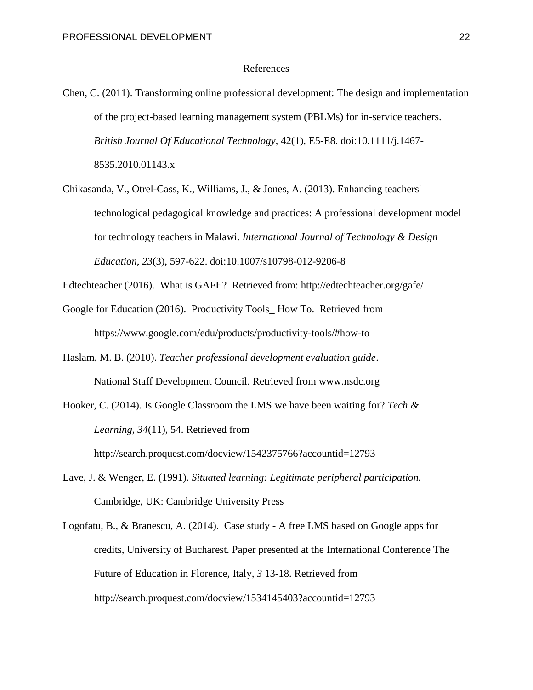#### References

- Chen, C. (2011). Transforming online professional development: The design and implementation of the project-based learning management system (PBLMs) for in-service teachers. *British Journal Of Educational Technology*, 42(1), E5-E8. doi:10.1111/j.1467- 8535.2010.01143.x
- Chikasanda, V., Otrel-Cass, K., Williams, J., & Jones, A. (2013). Enhancing teachers' technological pedagogical knowledge and practices: A professional development model for technology teachers in Malawi. *International Journal of Technology & Design Education, 23*(3), 597-622. doi:10.1007/s10798-012-9206-8
- Edtechteacher (2016). What is GAFE? Retrieved from: http://edtechteacher.org/gafe/
- Google for Education (2016). Productivity Tools\_ How To. Retrieved from https://www.google.com/edu/products/productivity-tools/#how-to
- Haslam, M. B. (2010). *Teacher professional development evaluation guide*. National Staff Development Council. Retrieved from www.nsdc.org
- Hooker, C. (2014). Is Google Classroom the LMS we have been waiting for? *Tech & Learning, 34*(11), 54. Retrieved from http://search.proquest.com/docview/1542375766?accountid=12793
- Lave, J. & Wenger, E. (1991). *Situated learning: Legitimate peripheral participation.* Cambridge, UK: Cambridge University Press
- Logofatu, B., & Branescu, A. (2014). Case study A free LMS based on Google apps for credits, University of Bucharest. Paper presented at the International Conference The Future of Education in Florence, Italy*, 3* 13-18. Retrieved from http://search.proquest.com/docview/1534145403?accountid=12793